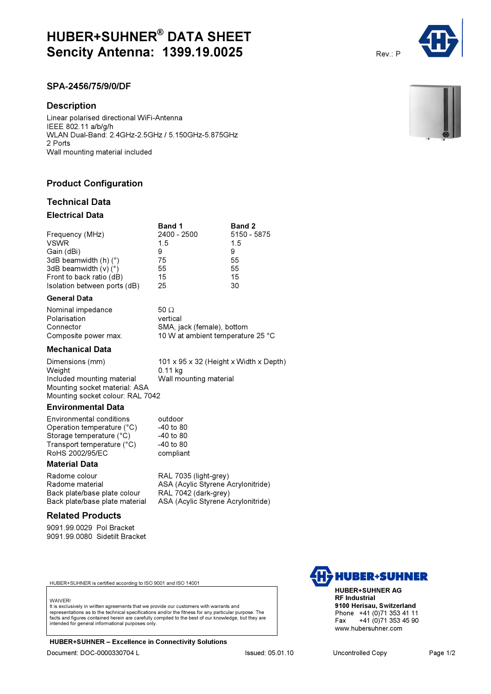# HUBER+SUHNER® DATA SHEET **Sencity Antenna: 1399.19.0025** Rev.: P

# SPA-2456/75/9/0/DF

# **Description**

Linear polarised directional WiFi-Antenna IEEE 802.11 a/b/g/h WLAN Dual-Band: 2.4GHz-2.5GHz / 5.150GHz-5.875GHz 2 Ports Wall mounting material included

# Product Configuration

# Technical Data

# Electrical Data

|                                   | <b>Band 1</b> | <b>Band 2</b> |
|-----------------------------------|---------------|---------------|
| Frequency (MHz)                   | 2400 - 2500   | 5150 - 5875   |
| <b>VSWR</b>                       | 15            | 15            |
| Gain (dBi)                        | 9             | 9             |
| 3dB beamwidth $(h)$ $(°)$         | 75            | 55            |
| 3dB beamwidth $(v)$ ( $\degree$ ) | 55            | 55            |
| Front to back ratio (dB)          | 15            | 15            |
| Isolation between ports (dB)      | 25            | 30            |

#### General Data

| Nominal impedance    | $50\Omega$                        |  |
|----------------------|-----------------------------------|--|
| Polarisation         | vertical                          |  |
| Connector            | SMA, jack (female), bottom        |  |
| Composite power max. | 10 W at ambient temperature 25 °C |  |

# Mechanical Data

Dimensions (mm) 101 x 95 x 32 (Height x Width x Depth) Weight <br>Included mounting material 0.11 kg<br>Wall mounting material Wall mounting material Included mounting material Mounting socket material: ASA Mounting socket colour: RAL 7042

### Environmental Data

Environmental conditions outdoor Operation temperature (°C)  $-40$  to 80<br>Storage temperature (°C)  $-40$  to 80 Storage temperature (°C)  $-40$  to 80<br>Transport temperature (°C)  $-40$  to 80 Transport temperature  $(^{\circ}C)$ RoHS 2002/95/EC compliant

# Material Data

Radome colour **RAL 7035 (light-grey)**<br>Radome material **RAL ASA (Acylic Styrene ASA** Back plate/base plate colour Back plate/base plate material ASA (Acylic Styrene Acrylonitride)

ASA (Acylic Styrene Acrylonitride)<br>RAL 7042 (dark-grey)

# Related Products

9091.99.0029 Pol Bracket 9091.99.0080 Sidetilt Bracket

HUBER+SUHNER is certified according to ISO 9001 and ISO 14001

#### **WAIVER!**

It is exclusively in written agreements that we provide our customers with warrants and representations as to the technical specifications and/or the fitness for any particular purpose. The facts and figures contained herein are carefully compiled to the best of our knowledge, but they are intended for general informational purposes only.

HUBER+SUHNER – Excellence in Connectivity Solutions Document: DOC-0000330704 L Issued: 05.01.10 Uncontrolled Copy Page 1/2



HUBER+SUHNER AG RF Industrial 9100 Herisau, Switzerland Phone +41 (0)71 353 41 11<br>Fax +41 (0)71 353 45 90 +41 (0)71 353 45 90 www.hubersuhner.com